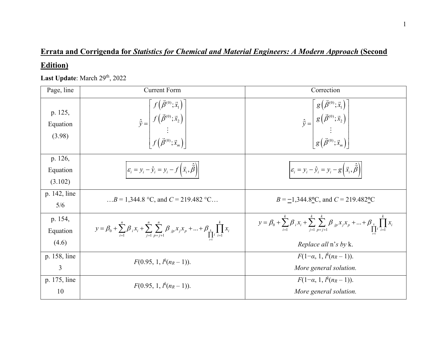## **Errata and Corrigenda for** *Statistics for Chemical and Material Engineers: A Modern Approach* **(Second**

## **Edition)**

Last Update: March 29<sup>th</sup>, 2022

| Page, line                    | <b>Current Form</b>                                                                                                                                                                           | Correction                                                                                                                                                                                 |
|-------------------------------|-----------------------------------------------------------------------------------------------------------------------------------------------------------------------------------------------|--------------------------------------------------------------------------------------------------------------------------------------------------------------------------------------------|
| p. 125,<br>Equation<br>(3.98) | $\hat{\vec{y}} = \begin{bmatrix} f\left(\vec{\beta}^{(0)}; \vec{x}_1\right) \ f\left(\vec{\beta}^{(0)}; \vec{x}_2\right) \ \vdots \ f\left(\vec{\beta}^{(0)}; \vec{x}_m\right) \end{bmatrix}$ | $\hat{\vec{y}} = \begin{bmatrix} g\left(\vec{\beta}^{(0)};\vec{x}_1\right) \ g\left(\vec{\beta}^{(0)};\vec{x}_2\right) \ \vdots \ g\left(\vec{\beta}^{(0)};\vec{x}_m\right) \end{bmatrix}$ |
| p. 126,                       |                                                                                                                                                                                               |                                                                                                                                                                                            |
| Equation                      | $\left \varepsilon_i = y_i - \hat{y}_i = y_i - f\left(\vec{x}_i, \hat{\vec{\beta}}\right)\right $                                                                                             | $\left \varepsilon_i = y_i - \hat{y}_i = y_i - g\left(\vec{x}_i, \hat{\vec{\beta}}\right)\right $                                                                                          |
| (3.102)                       |                                                                                                                                                                                               |                                                                                                                                                                                            |
| p. 142, line                  | $B = 1,344.8$ °C, and $C = 219.482$ °C                                                                                                                                                        | $B = -1,344.8$ °C, and C = 219.482°C                                                                                                                                                       |
| 5/6                           |                                                                                                                                                                                               |                                                                                                                                                                                            |
| p. 154,<br>Equation           | $y = \beta_0 + \sum_{i=1}^n \beta_i x_i + \sum_{j=1}^n \sum_{p=j+1}^n \beta_{jp} x_j x_p + \dots + \beta_{k} \prod_{i=1}^n x_i$                                                               | $y = \beta_0 + \sum_{i=1}^k \beta_i x_i + \sum_{j=1}^k \sum_{p=j+1}^k \beta_{jp} x_j x_p +  + \beta_k \prod_{i=1}^k x_i$                                                                   |
| (4.6)                         |                                                                                                                                                                                               | <i>Replace all</i> n's by k.                                                                                                                                                               |
| p. 158, line                  | $F(0.95, 1, l^k(n_R-1)).$                                                                                                                                                                     | $F(1-\alpha, 1, l^k(n_R-1)).$                                                                                                                                                              |
| 3                             |                                                                                                                                                                                               | More general solution.                                                                                                                                                                     |
| p. 175, line                  | $F(0.95, 1, l^k(n_R-1)).$                                                                                                                                                                     | $F(1-\alpha, 1, l^k(n_R-1)).$                                                                                                                                                              |
| 10                            |                                                                                                                                                                                               | More general solution.                                                                                                                                                                     |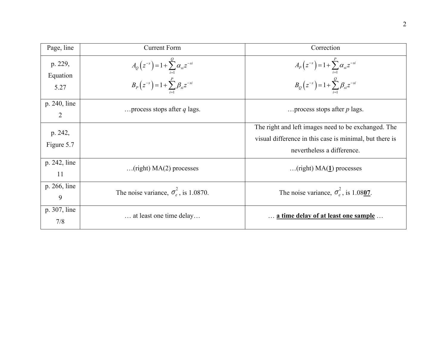| Page, line                     | <b>Current Form</b>                                                                                             | Correction                                                                                                                                   |
|--------------------------------|-----------------------------------------------------------------------------------------------------------------|----------------------------------------------------------------------------------------------------------------------------------------------|
| p. 229,<br>Equation<br>5.27    | $A_Q(z^{-s}) = 1 + \sum_{i=1}^{Q} \alpha_{si} z^{-si}$<br>$B_P(z^{-s}) = 1 + \sum_{i=1}^{P} \beta_{si} z^{-si}$ | $A_{P}(z^{-s}) = 1 + \sum_{i=1}^{P} \alpha_{si} z^{-si}$<br>$B_Q(z^{-s}) = 1 + \sum_{i=1}^{Q} \beta_{si} z^{-si}$                            |
| p. 240, line<br>$\overline{2}$ | process stops after $q$ lags.                                                                                   | process stops after $p$ lags.                                                                                                                |
| p. 242,<br>Figure 5.7          |                                                                                                                 | The right and left images need to be exchanged. The<br>visual difference in this case is minimal, but there is<br>nevertheless a difference. |
| p. 242, line<br>11             | $(\text{right})$ MA $(2)$ processes                                                                             | (right) $MA(1)$ processes                                                                                                                    |
| p. 266, line<br>9              | The noise variance, $\sigma_e^2$ , is 1.0870.                                                                   | The noise variance, $\sigma_e^2$ , is 1.0807.                                                                                                |
| p. 307, line<br>7/8            | at least one time delay                                                                                         | a time delay of at least one sample                                                                                                          |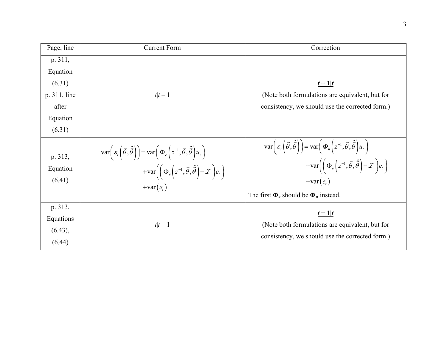| Page, line                                | <b>Current Form</b>                                                                                                                                                                                                                                                                                     | Correction                                                                                                                                                                                                                                                                                                                                                               |
|-------------------------------------------|---------------------------------------------------------------------------------------------------------------------------------------------------------------------------------------------------------------------------------------------------------------------------------------------------------|--------------------------------------------------------------------------------------------------------------------------------------------------------------------------------------------------------------------------------------------------------------------------------------------------------------------------------------------------------------------------|
| p. 311,                                   |                                                                                                                                                                                                                                                                                                         |                                                                                                                                                                                                                                                                                                                                                                          |
| Equation                                  |                                                                                                                                                                                                                                                                                                         |                                                                                                                                                                                                                                                                                                                                                                          |
| (6.31)                                    |                                                                                                                                                                                                                                                                                                         | $t+1$ $t$                                                                                                                                                                                                                                                                                                                                                                |
| p. 311, line                              | $t t-1$                                                                                                                                                                                                                                                                                                 | (Note both formulations are equivalent, but for                                                                                                                                                                                                                                                                                                                          |
| after                                     |                                                                                                                                                                                                                                                                                                         | consistency, we should use the corrected form.)                                                                                                                                                                                                                                                                                                                          |
| Equation                                  |                                                                                                                                                                                                                                                                                                         |                                                                                                                                                                                                                                                                                                                                                                          |
| (6.31)                                    |                                                                                                                                                                                                                                                                                                         |                                                                                                                                                                                                                                                                                                                                                                          |
| p. 313,<br>Equation<br>(6.41)             | $\text{var}\left(\varepsilon_t\left(\vec{\theta},\hat{\vec{\theta}}\right)\right) = \text{var}\left(\Phi_e\left(z^{-1},\vec{\theta},\hat{\vec{\theta}}\right)u_t\right)$<br>$+\text{var}\bigg(\bigg(\Phi_e\bigg(z^{-1},\vec{\theta},\hat{\vec{\theta}}\bigg)-\mathcal{I}\bigg)e_t\bigg)$<br>$+var(e_t)$ | $\text{var}\left(\varepsilon_t\left(\vec{\theta},\hat{\vec{\theta}}\right)\right) = \text{var}\left(\boldsymbol{\Phi}_u\left(z^{-1},\vec{\theta},\hat{\vec{\theta}}\right)u_t\right)$<br>$+\text{var}\bigg(\bigg(\Phi_e\bigg(z^{-1},\vec{\theta},\hat{\vec{\theta}}\bigg)-\mathcal{I}\bigg)e_t\bigg)$<br>$+var(e_{i})$<br>The first $\Phi_e$ should be $\Phi_u$ instead. |
| p. 313,<br>Equations<br>(6.43),<br>(6.44) | $t t-1$                                                                                                                                                                                                                                                                                                 | $t+1$ $t$<br>(Note both formulations are equivalent, but for<br>consistency, we should use the corrected form.)                                                                                                                                                                                                                                                          |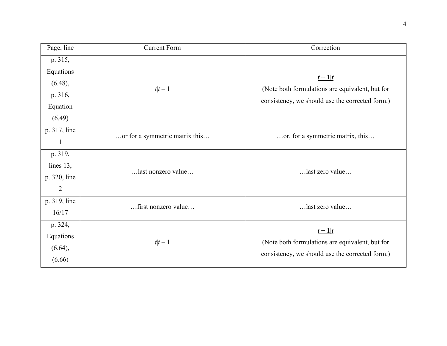| Page, line     | <b>Current Form</b>            | Correction                                      |
|----------------|--------------------------------|-------------------------------------------------|
| p. 315,        |                                |                                                 |
| Equations      |                                | $t+1$                                           |
| (6.48),        |                                | (Note both formulations are equivalent, but for |
| p. 316,        | $t t-1$                        |                                                 |
| Equation       |                                | consistency, we should use the corrected form.) |
| (6.49)         |                                |                                                 |
| p. 317, line   | or for a symmetric matrix this | or, for a symmetric matrix, this                |
| 1              |                                |                                                 |
| p. 319,        | last nonzero value             | last zero value                                 |
| lines 13,      |                                |                                                 |
| p. 320, line   |                                |                                                 |
| $\overline{2}$ |                                |                                                 |
| p. 319, line   | first nonzero value            | last zero value                                 |
| 16/17          |                                |                                                 |
| p. 324,        |                                | $t+1$                                           |
| Equations      | $t t-1$                        | (Note both formulations are equivalent, but for |
| (6.64),        |                                |                                                 |
| (6.66)         |                                | consistency, we should use the corrected form.) |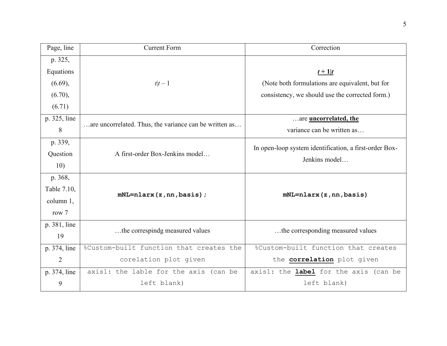| Page, line   | <b>Current Form</b>                                    | Correction                                             |
|--------------|--------------------------------------------------------|--------------------------------------------------------|
| p. 325,      |                                                        |                                                        |
| Equations    |                                                        | $t+1$   t                                              |
| (6.69),      | $t t-1$                                                | (Note both formulations are equivalent, but for        |
| (6.70),      |                                                        | consistency, we should use the corrected form.)        |
| (6.71)       |                                                        |                                                        |
| p. 325, line | are uncorrelated. Thus, the variance can be written as | are <b>uncorrelated</b> , the                          |
| 8            |                                                        | variance can be written as                             |
| p. 339,      |                                                        | In open-loop system identification, a first-order Box- |
| Question     | A first-order Box-Jenkins model                        | Jenkins model                                          |
| 10)          |                                                        |                                                        |
| p. 368,      |                                                        |                                                        |
| Table 7.10,  | $mNL = nlarx(z,nn,basis)$ ;                            | $mNL = nlars(z,nn,basis)$                              |
| column 1,    |                                                        |                                                        |
| row $7$      |                                                        |                                                        |
| p. 381, line | the correspindg measured values                        | the corresponding measured values                      |
| 19           |                                                        |                                                        |
| p. 374, line | %Custom-built function that creates the                | %Custom-built function that creates                    |
| 2            | corelation plot given                                  | the correlation plot given                             |
| p. 374, line | axis1: the lable for the axis (can be                  | axis1: the label for the axis (can be                  |
| 9            | left blank)                                            | left blank)                                            |